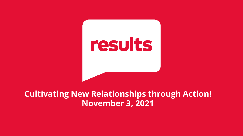

#### **Cultivating New Relationships through Action! November 3, 2021**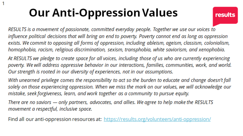#### **Our Anti-Oppression Values**

results

RESULTS is a movement of passionate, committed everyday people. Together we use our voices to influence political decisions that will bring an end to poverty. Poverty cannot end as long as oppression exists. We commit to opposing all forms of oppression, including ableism, ageism, classism, colonialism, homophobia, racism, religious discrimination, sexism, transphobia, white saviorism, and xenophobia.

At RESULTS we pledge to create space for all voices, including those of us who are currently experiencing poverty. We will address oppressive behavior in our interactions, families, communities, work, and world. Our strength is rooted in our diversity of experiences, not in our assumptions.

With unearned privilege comes the responsibility to act so the burden to educate and change doesn't fall solely on those experiencing oppression. When we miss the mark on our values, we will acknowledge our mistake, seek forgiveness, learn, and work together as a community to pursue equity.

There are no saviors — only partners, advocates, and allies. We agree to help make the RESULTS movement a respectful, inclusive space.

Find all our anti-oppression resources at: https://results.org/volunteers/anti-oppression/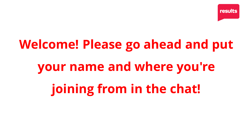**results** 

# **Welcome! Please go ahead and put your name and where you're joining from in the chat!**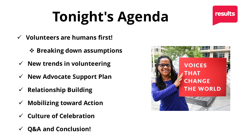## **Tonight's Agenda**

- ✓ **Volunteers are humans first!**
	- ❖ **Breaking down assumptions**
- ✓ **New trends in volunteering**
- ✓ **New Advocate Support Plan**
- ✓ **Relationship Building**
- ✓ **Mobilizing toward Action**
- ✓ **Culture of Celebration**
- ✓ **Q&A and Conclusion!**



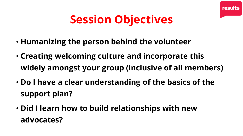

#### **Session Objectives**

- **Humanizing the person behind the volunteer**
- **Creating welcoming culture and incorporate this widely amongst your group (inclusive of all members)**
- **Do I have a clear understanding of the basics of the support plan?**
- **Did I learn how to build relationships with new advocates?**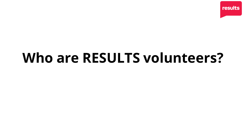

## **Who are RESULTS volunteers?**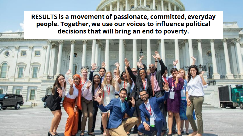**RESULTS is a movement of passionate, committed, everyday** people. Together, we use our voices to influence political decisions that will bring an end to poverty.

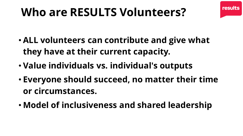#### **Who are RESULTS Volunteers?**

• **ALL volunteers can contribute and give what they have at their current capacity.**

results

- **Value individuals vs. individual's outputs**
- **Everyone should succeed, no matter their time or circumstances.**
- **Model of inclusiveness and shared leadership**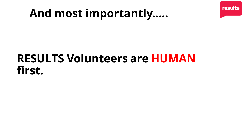

#### **And most importantly.....**

#### **RESULTS Volunteers are HUMAN first.**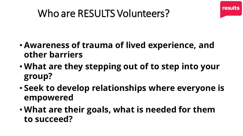#### Who are RESULTS Volunteers?

- **Awareness of trauma of lived experience, and other barriers**
- **What are they stepping out of to step into your group?**
- **Seek to develop relationships where everyone is empowered**
- **What are their goals, what is needed for them to succeed?**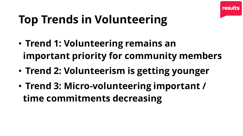

#### **Top Trends in Volunteering**

- **Trend 1: Volunteering remains an important priority for community members**
- **Trend 2: Volunteerism is getting younger**
- **Trend 3: Micro-volunteering important / time commitments decreasing**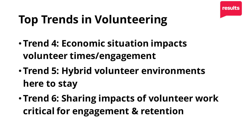

#### **Top Trends in Volunteering**

- **Trend 4: Economic situation impacts volunteer times/engagement**
- **Trend 5: Hybrid volunteer environments here to stay**
- **Trend 6: Sharing impacts of volunteer work critical for engagement & retention**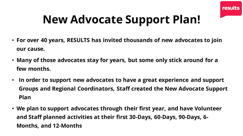

#### **New Advocate Support Plan!**

- **For over 40 years, RESULTS has invited thousands of new advocates to join our cause.**
- **Many of those advocates stay for years, but some only stick around for a few months.**
- **In order to support new advocates to have a great experience and support Groups and Regional Coordinators, Staff created the New Advocate Support Plan**
- **We plan to support advocates through their first year, and have Volunteer and Staff planned activities at their first 30-Days, 60-Days, 90-Days, 6- Months, and 12-Months**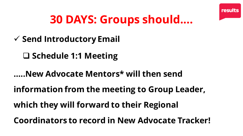

#### **30 DAYS: Groups should....**

- ✓ **Send Introductory Email**
	- ❑ **Schedule 1:1 Meeting**
- **…..New Advocate Mentors\* will then send**
- **information from the meeting to Group Leader,**
- **which they will forward to their Regional**
- **Coordinators to record in New Advocate Tracker!**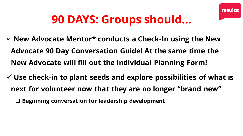#### **90 DAYS: Groups should...**

- ✓ **New Advocate Mentor\* conducts a Check-In using the New Advocate 90 Day Conversation Guide! At the same time the New Advocate will fill out the Individual Planning Form!**
- ✓ **Use check-in to plant seeds and explore possibilities of what is next for volunteer now that they are no longer "brand new"**

❑ **Beginning conversation for leadership development**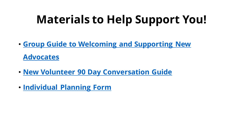#### **Materials to Help Support You!**

- **[Group Guide to Welcoming and Supporting New](https://results.org/wp-content/uploads/Group-Guide-to-Welcoming-Supporting-New-Advocates-1.pdf)  Advocates**
- **[New Volunteer 90 Day Conversation Guide](https://results.org/?post_type=attachment&p=112361)**
- **[Individual Planning Form](https://results.org/?post_type=attachment&p=112210)**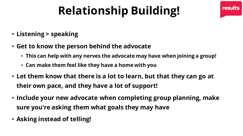#### **Relationship Building!**

results

- **Listening > speaking**
- **Get to know the person behind the advocate**
	- **This can help with any nerves the advocate may have when joining a group!**
	- **Can make them feel like they have a home with you**
- **Let them know that there is a lot to learn, but that they can go at their own pace, and they have a lot of support!**
- **Include your new advocate when completing group planning, make sure you're asking them what goals they may have**
- **Asking instead of telling!**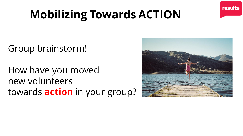#### **Mobilizing Towards ACTION**

#### Group brainstorm!

How have you moved new volunteers towards **action** in your group?



results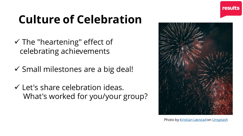#### **Culture of Celebration**

- $\checkmark$  The "heartening" effect of celebrating achievements
- $\checkmark$  Small milestones are a big deal!
- $\checkmark$  Let's share celebration ideas. What's worked for you/your group?



results

Photo by Kristian Løystad on [Unsplash](https://unsplash.com/s/photos/fireworks?utm_source=unsplash&utm_medium=referral&utm_content=creditCopyText)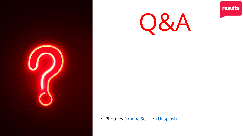

# Q&A



• Photo by **Simone Secci on [Unsplash](https://unsplash.com/s/photos/question-marks?utm_source=unsplash&utm_medium=referral&utm_content=creditCopyText)**